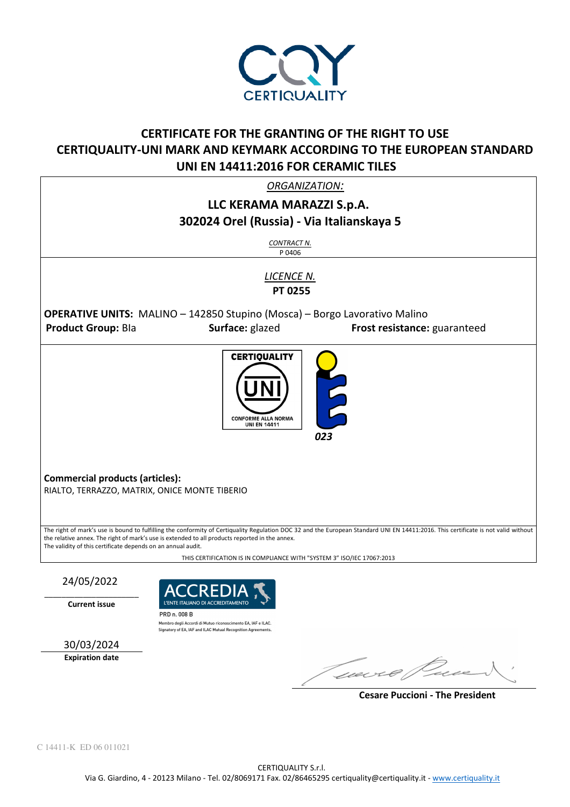

## **CERTIFICATE FOR THE GRANTING OF THE RIGHT TO USE CERTIQUALITY-UNI MARK AND KEYMARK ACCORDING TO THE EUROPEAN STANDARD UNI EN 14411:2016 FOR CERAMIC TILES**

*ORGANIZATION:* 

## **LLC KERAMA MARAZZI S.p.A. 302024 Orel (Russia) - Via Italianskaya 5**  *CONTRACT N.* P 0406 *LICENCE N.*   **PT 0255 OPERATIVE UNITS:** MALINO – 142850 Stupino (Mosca) – Borgo Lavorativo Malino **Product Group:** Bla **Surface:** glazed **Frost resistance:** guaranteed l **CERTIQUALITY** CONFORME ALLA NORMA **UNI EN 14411**  *023* **Commercial products (articles):**  RIALTO, TERRAZZO, MATRIX, ONICE MONTE TIBERIO The right of mark's use is bound to fulfilling the conformity of Certiquality Regulation DOC 32 and the European Standard UNI EN 14411:2016. This certificate is not valid without the relative annex. The right of mark's use is extended to all products reported in the annex. The validity of this certificate depends on an annual audit. THIS CERTIFICATION IS IN COMPLIANCE WITH "SYSTEM 3" ISO/IEC 17067:2013 24/05/2022  $\_$

**Current issue** 



Signatory of EA, IAF and ILAC Mutual Recognition Agreements.

30/03/2024

**Expiration date** 

Guevro

 **Cesare Puccioni - The President**

C 14411-K ED 06 011021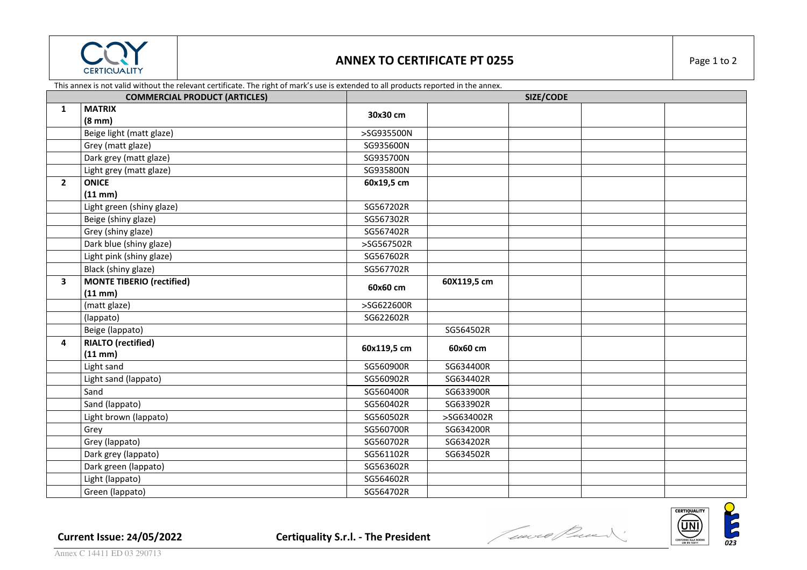

## **ANNEX TO CERTIFICATE PT 0255** Page 1 to 2

This annex is not valid without the relevant certificate. The right of mark's use is extended to all products reported in the annex.

| <b>COMMERCIAL PRODUCT (ARTICLES)</b> |                                  |             | SIZE/CODE   |  |  |  |  |
|--------------------------------------|----------------------------------|-------------|-------------|--|--|--|--|
| $\mathbf{1}$                         | <b>MATRIX</b>                    | 30x30 cm    |             |  |  |  |  |
|                                      | $(8 \text{ mm})$                 |             |             |  |  |  |  |
|                                      | Beige light (matt glaze)         | >SG935500N  |             |  |  |  |  |
|                                      | Grey (matt glaze)                | SG935600N   |             |  |  |  |  |
|                                      | Dark grey (matt glaze)           | SG935700N   |             |  |  |  |  |
|                                      | Light grey (matt glaze)          | SG935800N   |             |  |  |  |  |
| $\mathbf{2}$                         | <b>ONICE</b>                     | 60x19,5 cm  |             |  |  |  |  |
|                                      | $(11 \text{ mm})$                |             |             |  |  |  |  |
|                                      | Light green (shiny glaze)        | SG567202R   |             |  |  |  |  |
|                                      | Beige (shiny glaze)              | SG567302R   |             |  |  |  |  |
|                                      | Grey (shiny glaze)               | SG567402R   |             |  |  |  |  |
|                                      | Dark blue (shiny glaze)          | >SG567502R  |             |  |  |  |  |
|                                      | Light pink (shiny glaze)         | SG567602R   |             |  |  |  |  |
|                                      | Black (shiny glaze)              | SG567702R   |             |  |  |  |  |
| $\mathbf{3}$                         | <b>MONTE TIBERIO (rectified)</b> | 60x60 cm    | 60X119,5 cm |  |  |  |  |
|                                      | $(11 \text{ mm})$                |             |             |  |  |  |  |
|                                      | (matt glaze)                     | >SG622600R  |             |  |  |  |  |
|                                      | (lappato)                        | SG622602R   |             |  |  |  |  |
|                                      | Beige (lappato)                  |             | SG564502R   |  |  |  |  |
| 4                                    | <b>RIALTO (rectified)</b>        | 60x119,5 cm | 60x60 cm    |  |  |  |  |
|                                      | $(11$ mm $)$                     |             |             |  |  |  |  |
|                                      | Light sand                       | SG560900R   | SG634400R   |  |  |  |  |
|                                      | Light sand (lappato)             | SG560902R   | SG634402R   |  |  |  |  |
|                                      | Sand                             | SG560400R   | SG633900R   |  |  |  |  |
|                                      | Sand (lappato)                   | SG560402R   | SG633902R   |  |  |  |  |
|                                      | Light brown (lappato)            | SG560502R   | >SG634002R  |  |  |  |  |
|                                      | Grey                             | SG560700R   | SG634200R   |  |  |  |  |
|                                      | Grey (lappato)                   | SG560702R   | SG634202R   |  |  |  |  |
|                                      | Dark grey (lappato)              | SG561102R   | SG634502R   |  |  |  |  |
|                                      | Dark green (lappato)             | SG563602R   |             |  |  |  |  |
|                                      | Light (lappato)                  | SG564602R   |             |  |  |  |  |
|                                      | Green (lappato)                  | SG564702R   |             |  |  |  |  |